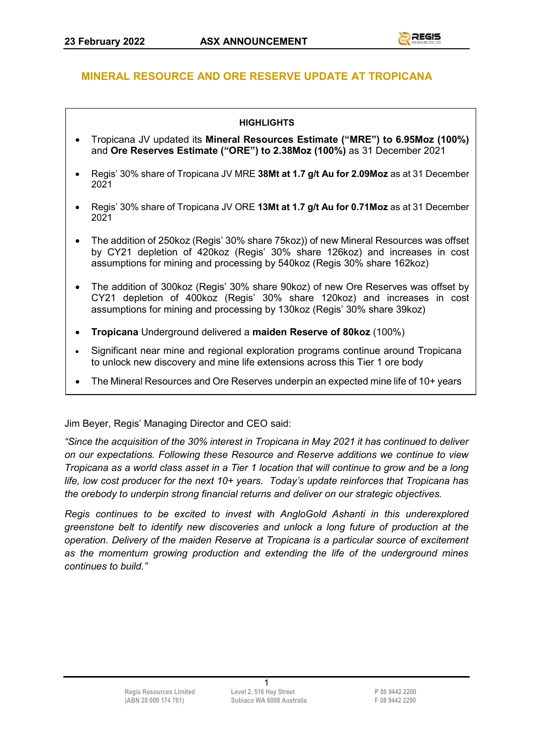### **MINERAL RESOURCE AND ORE RESERVE UPDATE AT TROPICANA**

#### **HIGHLIGHTS**

- Tropicana JV updated its **Mineral Resources Estimate ("MRE") to 6.95Moz (100%)**  and **Ore Reserves Estimate ("ORE") to 2.38Moz (100%)** as 31 December 2021
- Regis' 30% share of Tropicana JV MRE **38Mt at 1.7 g/t Au for 2.09Moz** as at 31 December 2021
- Regis' 30% share of Tropicana JV ORE **13Mt at 1.7 g/t Au for 0.71Moz** as at 31 December 2021
- The addition of 250koz (Regis' 30% share 75koz)) of new Mineral Resources was offset by CY21 depletion of 420koz (Regis' 30% share 126koz) and increases in cost assumptions for mining and processing by 540koz (Regis 30% share 162koz)
- The addition of 300koz (Regis' 30% share 90koz) of new Ore Reserves was offset by CY21 depletion of 400koz (Regis' 30% share 120koz) and increases in cost assumptions for mining and processing by 130koz (Regis' 30% share 39koz)
- **Tropicana** Underground delivered a **maiden Reserve of 80koz** (100%)
- Significant near mine and regional exploration programs continue around Tropicana to unlock new discovery and mine life extensions across this Tier 1 ore body
- The Mineral Resources and Ore Reserves underpin an expected mine life of 10+ years

Jim Beyer, Regis' Managing Director and CEO said:

*"Since the acquisition of the 30% interest in Tropicana in May 2021 it has continued to deliver on our expectations. Following these Resource and Reserve additions we continue to view Tropicana as a world class asset in a Tier 1 location that will continue to grow and be a long life, low cost producer for the next 10+ years. Today's update reinforces that Tropicana has the orebody to underpin strong financial returns and deliver on our strategic objectives.*

*Regis continues to be excited to invest with AngloGold Ashanti in this underexplored greenstone belt to identify new discoveries and unlock a long future of production at the operation. Delivery of the maiden Reserve at Tropicana is a particular source of excitement as the momentum growing production and extending the life of the underground mines continues to build."*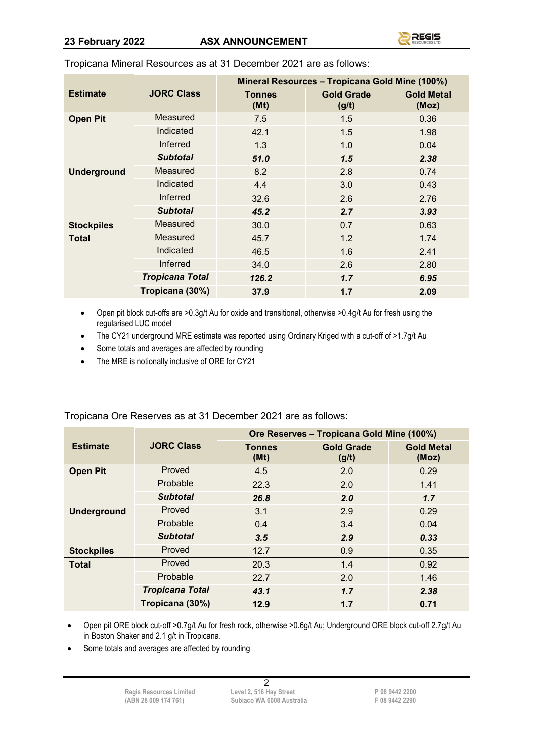|                    |                        | Mineral Resources - Tropicana Gold Mine (100%) |                            |                            |
|--------------------|------------------------|------------------------------------------------|----------------------------|----------------------------|
| <b>Estimate</b>    | <b>JORC Class</b>      | <b>Tonnes</b><br>(Mt)                          | <b>Gold Grade</b><br>(g/t) | <b>Gold Metal</b><br>(Moz) |
| <b>Open Pit</b>    | Measured               | 7.5                                            | 1.5                        | 0.36                       |
|                    | Indicated              | 42.1                                           | 1.5                        | 1.98                       |
|                    | Inferred               | 1.3                                            | 1.0                        | 0.04                       |
|                    | <b>Subtotal</b>        | 51.0                                           | 1.5                        | 2.38                       |
| <b>Underground</b> | Measured               | 8.2                                            | 2.8                        | 0.74                       |
|                    | Indicated              | 4.4                                            | 3.0                        | 0.43                       |
|                    | Inferred               | 32.6                                           | 2.6                        | 2.76                       |
|                    | <b>Subtotal</b>        | 45.2                                           | 2.7                        | 3.93                       |
| <b>Stockpiles</b>  | Measured               | 30.0                                           | 0.7                        | 0.63                       |
| <b>Total</b>       | Measured               | 45.7                                           | 1.2                        | 1.74                       |
|                    | Indicated              | 46.5                                           | 1.6                        | 2.41                       |
|                    | <b>Inferred</b>        | 34.0                                           | 2.6                        | 2.80                       |
|                    | <b>Tropicana Total</b> | 126.2                                          | 1.7                        | 6.95                       |
|                    | Tropicana (30%)        | 37.9                                           | 1.7                        | 2.09                       |

Tropicana Mineral Resources as at 31 December 2021 are as follows:

- Open pit block cut-offs are >0.3g/t Au for oxide and transitional, otherwise >0.4g/t Au for fresh using the regularised LUC model
- The CY21 underground MRE estimate was reported using Ordinary Kriged with a cut-off of >1.7g/t Au
- Some totals and averages are affected by rounding
- The MRE is notionally inclusive of ORE for CY21

|                    |                        | Ore Reserves - Tropicana Gold Mine (100%) |                            |                            |  |
|--------------------|------------------------|-------------------------------------------|----------------------------|----------------------------|--|
| <b>Estimate</b>    | <b>JORC Class</b>      | Tonnes<br>(Mt)                            | <b>Gold Grade</b><br>(g/t) | <b>Gold Metal</b><br>(Moz) |  |
| <b>Open Pit</b>    | Proved                 | 4.5                                       | 2.0                        | 0.29                       |  |
|                    | Probable               | 22.3                                      | 2.0                        | 1.41                       |  |
|                    | <b>Subtotal</b>        | 26.8                                      | 2.0                        | 1.7                        |  |
| <b>Underground</b> | Proved                 | 3.1                                       | 2.9                        | 0.29                       |  |
|                    | Probable               | 0.4                                       | 3.4                        | 0.04                       |  |
|                    | <b>Subtotal</b>        | 3.5                                       | 2.9                        | 0.33                       |  |
| <b>Stockpiles</b>  | Proved                 | 12.7                                      | 0.9                        | 0.35                       |  |
| <b>Total</b>       | Proved                 | 20.3                                      | 1.4                        | 0.92                       |  |
|                    | Probable               | 22.7                                      | 2.0                        | 1.46                       |  |
|                    | <b>Tropicana Total</b> | 43.1                                      | 1.7                        | 2.38                       |  |
|                    | Tropicana (30%)        | 12.9                                      | 1.7                        | 0.71                       |  |

Tropicana Ore Reserves as at 31 December 2021 are as follows:

• Open pit ORE block cut-off >0.7g/t Au for fresh rock, otherwise >0.6g/t Au; Underground ORE block cut-off 2.7g/t Au in Boston Shaker and 2.1 g/t in Tropicana.

• Some totals and averages are affected by rounding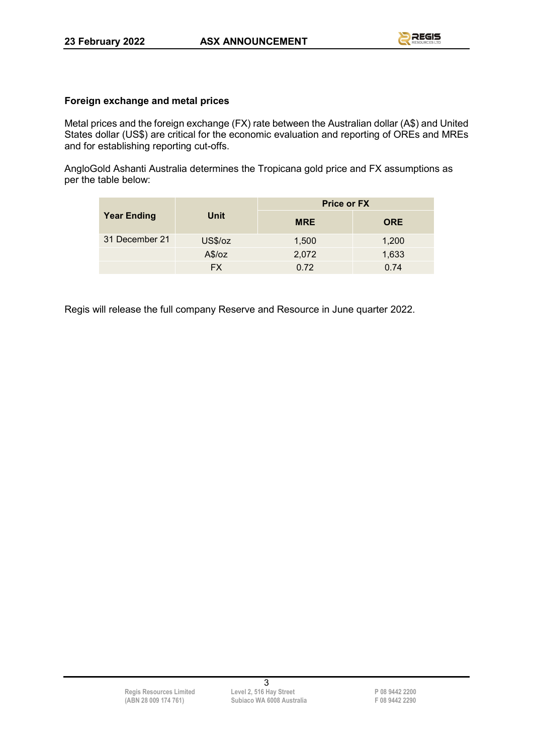### **Foreign exchange and metal prices**

Metal prices and the foreign exchange (FX) rate between the Australian dollar (A\$) and United States dollar (US\$) are critical for the economic evaluation and reporting of OREs and MREs and for establishing reporting cut-offs.

AngloGold Ashanti Australia determines the Tropicana gold price and FX assumptions as per the table below:

|                    |           | <b>Price or FX</b> |            |  |
|--------------------|-----------|--------------------|------------|--|
| <b>Year Ending</b> | Unit      | <b>MRE</b>         | <b>ORE</b> |  |
| 31 December 21     | US\$/oz   | 1,500              | 1,200      |  |
|                    | A\$/oz    | 2,072              | 1,633      |  |
|                    | <b>FX</b> | 0.72               | 0.74       |  |

Regis will release the full company Reserve and Resource in June quarter 2022.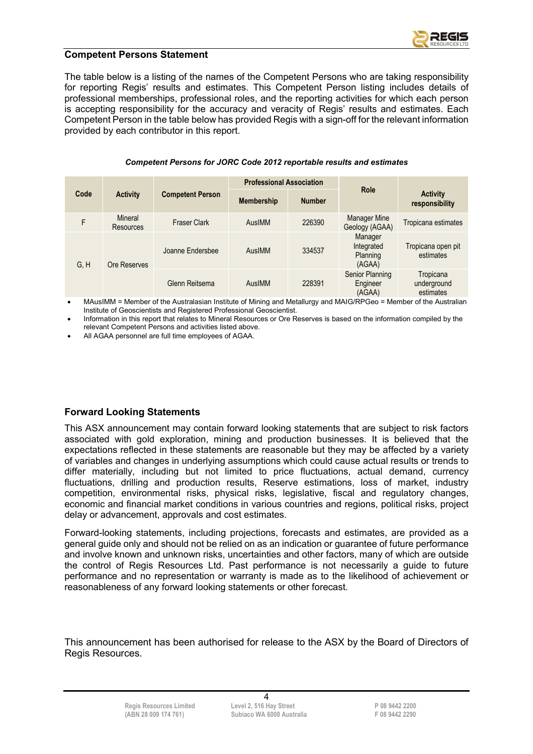

#### **Competent Persons Statement**

The table below is a listing of the names of the Competent Persons who are taking responsibility for reporting Regis' results and estimates. This Competent Person listing includes details of professional memberships, professional roles, and the reporting activities for which each person is accepting responsibility for the accuracy and veracity of Regis' results and estimates. Each Competent Person in the table below has provided Regis with a sign-off for the relevant information provided by each contributor in this report.

|  |  | Competent Persons for JORC Code 2012 reportable results and estimates |  |
|--|--|-----------------------------------------------------------------------|--|
|--|--|-----------------------------------------------------------------------|--|

|                      |                                    |                         | <b>Professional Association</b> |               |                                             |                                       |
|----------------------|------------------------------------|-------------------------|---------------------------------|---------------|---------------------------------------------|---------------------------------------|
| Code                 | <b>Activity</b>                    | <b>Competent Person</b> | <b>Membership</b>               | <b>Number</b> | Role                                        | <b>Activity</b><br>responsibility     |
| F                    | <b>Mineral</b><br><b>Resources</b> | <b>Fraser Clark</b>     | AusIMM                          | 226390        | Manager Mine<br>Geology (AGAA)              | Tropicana estimates                   |
| G, H<br>Ore Reserves |                                    | Joanne Endersbee        | AusIMM                          | 334537        | Manager<br>Integrated<br>Planning<br>(AGAA) | Tropicana open pit<br>estimates       |
|                      |                                    | Glenn Reitsema          | AusIMM                          | 228391        | Senior Planning<br>Engineer<br>(AGAA)       | Tropicana<br>underground<br>estimates |

• MAusIMM = Member of the Australasian Institute of Mining and Metallurgy and MAIG/RPGeo = Member of the Australian Institute of Geoscientists and Registered Professional Geoscientist.

• Information in this report that relates to Mineral Resources or Ore Reserves is based on the information compiled by the relevant Competent Persons and activities listed above.

• All AGAA personnel are full time employees of AGAA.

### **Forward Looking Statements**

This ASX announcement may contain forward looking statements that are subject to risk factors associated with gold exploration, mining and production businesses. It is believed that the expectations reflected in these statements are reasonable but they may be affected by a variety of variables and changes in underlying assumptions which could cause actual results or trends to differ materially, including but not limited to price fluctuations, actual demand, currency fluctuations, drilling and production results, Reserve estimations, loss of market, industry competition, environmental risks, physical risks, legislative, fiscal and regulatory changes, economic and financial market conditions in various countries and regions, political risks, project delay or advancement, approvals and cost estimates.

Forward-looking statements, including projections, forecasts and estimates, are provided as a general guide only and should not be relied on as an indication or guarantee of future performance and involve known and unknown risks, uncertainties and other factors, many of which are outside the control of Regis Resources Ltd. Past performance is not necessarily a guide to future performance and no representation or warranty is made as to the likelihood of achievement or reasonableness of any forward looking statements or other forecast.

This announcement has been authorised for release to the ASX by the Board of Directors of Regis Resources.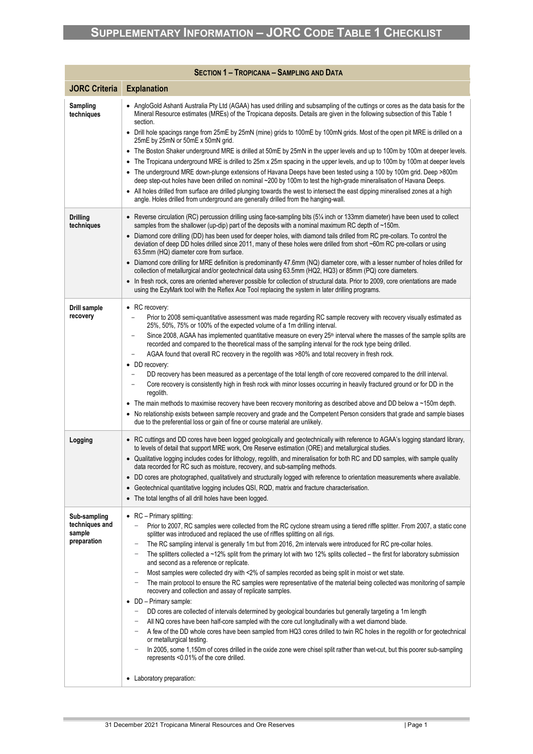|                                                         | <b>SECTION 1 - TROPICANA - SAMPLING AND DATA</b>                                                                                                                                                                                                                                                                                                                                                                                                                                                                                                                                                                                                                                                                                                                                                                                                                                                                                                                                                                                                                                                                                                                                                                                                                                                                                                                                                                                                                       |
|---------------------------------------------------------|------------------------------------------------------------------------------------------------------------------------------------------------------------------------------------------------------------------------------------------------------------------------------------------------------------------------------------------------------------------------------------------------------------------------------------------------------------------------------------------------------------------------------------------------------------------------------------------------------------------------------------------------------------------------------------------------------------------------------------------------------------------------------------------------------------------------------------------------------------------------------------------------------------------------------------------------------------------------------------------------------------------------------------------------------------------------------------------------------------------------------------------------------------------------------------------------------------------------------------------------------------------------------------------------------------------------------------------------------------------------------------------------------------------------------------------------------------------------|
| <b>JORC Criteria</b>                                    | <b>Explanation</b>                                                                                                                                                                                                                                                                                                                                                                                                                                                                                                                                                                                                                                                                                                                                                                                                                                                                                                                                                                                                                                                                                                                                                                                                                                                                                                                                                                                                                                                     |
| Sampling<br>techniques                                  | • AngloGold Ashanti Australia Pty Ltd (AGAA) has used drilling and subsampling of the cuttings or cores as the data basis for the<br>Mineral Resource estimates (MREs) of the Tropicana deposits. Details are given in the following subsection of this Table 1<br>section.<br>• Drill hole spacings range from 25mE by 25mN (mine) grids to 100mE by 100mN grids. Most of the open pit MRE is drilled on a<br>25mE by 25mN or 50mE x 50mN grid.<br>The Boston Shaker underground MRE is drilled at 50mE by 25mN in the upper levels and up to 100m by 100m at deeper levels.<br>٠<br>The Tropicana underground MRE is drilled to 25m x 25m spacing in the upper levels, and up to 100m by 100m at deeper levels<br>٠<br>The underground MRE down-plunge extensions of Havana Deeps have been tested using a 100 by 100m grid. Deep >800m<br>٠<br>deep step-out holes have been drilled on nominal ~200 by 100m to test the high-grade mineralisation of Havana Deeps.<br>All holes drilled from surface are drilled plunging towards the west to intersect the east dipping mineralised zones at a high<br>angle. Holes drilled from underground are generally drilled from the hanging-wall.                                                                                                                                                                                                                                                                         |
|                                                         |                                                                                                                                                                                                                                                                                                                                                                                                                                                                                                                                                                                                                                                                                                                                                                                                                                                                                                                                                                                                                                                                                                                                                                                                                                                                                                                                                                                                                                                                        |
| <b>Drilling</b><br>techniques                           | Reverse circulation (RC) percussion drilling using face-sampling bits (5% inch or 133mm diameter) have been used to collect<br>samples from the shallower (up-dip) part of the deposits with a nominal maximum RC depth of ~150m.<br>• Diamond core drilling (DD) has been used for deeper holes, with diamond tails drilled from RC pre-collars. To control the<br>deviation of deep DD holes drilled since 2011, many of these holes were drilled from short ~60m RC pre-collars or using<br>63.5mm (HQ) diameter core from surface.<br>• Diamond core drilling for MRE definition is predominantly 47.6mm (NQ) diameter core, with a lesser number of holes drilled for<br>collection of metallurgical and/or geotechnical data using 63.5mm (HQ2, HQ3) or 85mm (PQ) core diameters.<br>In fresh rock, cores are oriented wherever possible for collection of structural data. Prior to 2009, core orientations are made<br>using the EzyMark tool with the Reflex Ace Tool replacing the system in later drilling programs.                                                                                                                                                                                                                                                                                                                                                                                                                                        |
| <b>Drill sample</b><br>recovery                         | • RC recovery:<br>Prior to 2008 semi-quantitative assessment was made regarding RC sample recovery with recovery visually estimated as<br>25%, 50%, 75% or 100% of the expected volume of a 1m drilling interval.<br>Since 2008, AGAA has implemented quantitative measure on every 25 <sup>th</sup> interval where the masses of the sample splits are<br>-<br>recorded and compared to the theoretical mass of the sampling interval for the rock type being drilled.<br>AGAA found that overall RC recovery in the regolith was >80% and total recovery in fresh rock.<br>• DD recovery:<br>DD recovery has been measured as a percentage of the total length of core recovered compared to the drill interval.<br>Core recovery is consistently high in fresh rock with minor losses occurring in heavily fractured ground or for DD in the<br>regolith.<br>• The main methods to maximise recovery have been recovery monitoring as described above and DD below a ~150m depth.<br>• No relationship exists between sample recovery and grade and the Competent Person considers that grade and sample biases<br>due to the preferential loss or gain of fine or course material are unlikely.                                                                                                                                                                                                                                                                    |
| Logging                                                 | • RC cuttings and DD cores have been logged geologically and geotechnically with reference to AGAA's logging standard library,<br>to levels of detail that support MRE work, Ore Reserve estimation (ORE) and metallurgical studies.<br>Qualitative logging includes codes for lithology, regolith, and mineralisation for both RC and DD samples, with sample quality<br>data recorded for RC such as moisture, recovery, and sub-sampling methods.<br>DD cores are photographed, qualitatively and structurally logged with reference to orientation measurements where available.<br>$\bullet$<br>Geotechnical quantitative logging includes QSI, RQD, matrix and fracture characterisation.<br>The total lengths of all drill holes have been logged.<br>٠                                                                                                                                                                                                                                                                                                                                                                                                                                                                                                                                                                                                                                                                                                         |
| Sub-sampling<br>techniques and<br>sample<br>preparation | • $RC - Primary$ splitting:<br>Prior to 2007, RC samples were collected from the RC cyclone stream using a tiered riffle splitter. From 2007, a static cone<br>splitter was introduced and replaced the use of riffles splitting on all rigs.<br>The RC sampling interval is generally 1m but from 2016, 2m intervals were introduced for RC pre-collar holes.<br>The splitters collected a $\sim$ 12% split from the primary lot with two 12% splits collected – the first for laboratory submission<br>and second as a reference or replicate.<br>Most samples were collected dry with <2% of samples recorded as being split in moist or wet state.<br>The main protocol to ensure the RC samples were representative of the material being collected was monitoring of sample<br>-<br>recovery and collection and assay of replicate samples.<br>• DD - Primary sample:<br>DD cores are collected of intervals determined by geological boundaries but generally targeting a 1m length<br>-<br>All NQ cores have been half-core sampled with the core cut longitudinally with a wet diamond blade.<br>A few of the DD whole cores have been sampled from HQ3 cores drilled to twin RC holes in the regolith or for geotechnical<br>or metallurgical testing.<br>In 2005, some 1,150m of cores drilled in the oxide zone were chisel split rather than wet-cut, but this poorer sub-sampling<br>represents <0.01% of the core drilled.<br>• Laboratory preparation: |

× and the state of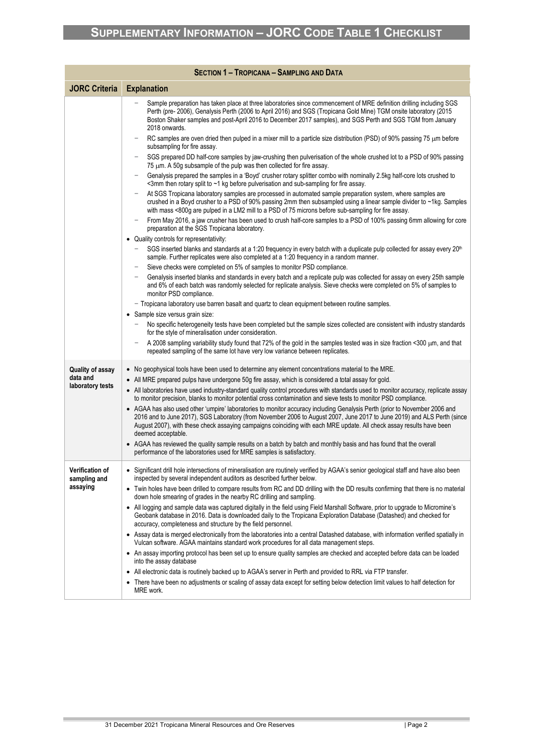|                                        | <b>SECTION 1 - TROPICANA - SAMPLING AND DATA</b>                                                                                                                                                                                                                                                                                                                                                    |
|----------------------------------------|-----------------------------------------------------------------------------------------------------------------------------------------------------------------------------------------------------------------------------------------------------------------------------------------------------------------------------------------------------------------------------------------------------|
| <b>JORC Criteria</b>                   | <b>Explanation</b>                                                                                                                                                                                                                                                                                                                                                                                  |
|                                        | Sample preparation has taken place at three laboratories since commencement of MRE definition drilling including SGS<br>Perth (pre- 2006), Genalysis Perth (2006 to April 2016) and SGS (Tropicana Gold Mine) TGM onsite laboratory (2015<br>Boston Shaker samples and post-April 2016 to December 2017 samples), and SGS Perth and SGS TGM from January<br>2018 onwards.                           |
|                                        | RC samples are oven dried then pulped in a mixer mill to a particle size distribution (PSD) of 90% passing 75 µm before<br>subsampling for fire assay.                                                                                                                                                                                                                                              |
|                                        | SGS prepared DD half-core samples by jaw-crushing then pulverisation of the whole crushed lot to a PSD of 90% passing<br>75 μm. A 50g subsample of the pulp was then collected for fire assay.                                                                                                                                                                                                      |
|                                        | Genalysis prepared the samples in a 'Boyd' crusher rotary splitter combo with nominally 2.5kg half-core lots crushed to<br><3mm then rotary split to ~1 kg before pulverisation and sub-sampling for fire assay.                                                                                                                                                                                    |
|                                        | At SGS Tropicana laboratory samples are processed in automated sample preparation system, where samples are<br>crushed in a Boyd crusher to a PSD of 90% passing 2mm then subsampled using a linear sample divider to ~1kg. Samples<br>with mass <800g are pulped in a LM2 mill to a PSD of 75 microns before sub-sampling for fire assay.                                                          |
|                                        | From May 2016, a jaw crusher has been used to crush half-core samples to a PSD of 100% passing 6mm allowing for core<br>preparation at the SGS Tropicana laboratory.                                                                                                                                                                                                                                |
|                                        | • Quality controls for representativity:                                                                                                                                                                                                                                                                                                                                                            |
|                                        | SGS inserted blanks and standards at a 1:20 frequency in every batch with a duplicate pulp collected for assay every 20 <sup>th</sup><br>sample. Further replicates were also completed at a 1:20 frequency in a random manner.                                                                                                                                                                     |
|                                        | Sieve checks were completed on 5% of samples to monitor PSD compliance.<br>Genalysis inserted blanks and standards in every batch and a replicate pulp was collected for assay on every 25th sample                                                                                                                                                                                                 |
|                                        | and 6% of each batch was randomly selected for replicate analysis. Sieve checks were completed on 5% of samples to<br>monitor PSD compliance.                                                                                                                                                                                                                                                       |
|                                        | - Tropicana laboratory use barren basalt and quartz to clean equipment between routine samples.                                                                                                                                                                                                                                                                                                     |
|                                        | • Sample size versus grain size:<br>No specific heterogeneity tests have been completed but the sample sizes collected are consistent with industry standards                                                                                                                                                                                                                                       |
|                                        | for the style of mineralisation under consideration.                                                                                                                                                                                                                                                                                                                                                |
|                                        | A 2008 sampling variability study found that 72% of the gold in the samples tested was in size fraction <300 µm, and that<br>repeated sampling of the same lot have very low variance between replicates.                                                                                                                                                                                           |
| <b>Quality of assay</b><br>data and    | • No geophysical tools have been used to determine any element concentrations material to the MRE.                                                                                                                                                                                                                                                                                                  |
| laboratory tests                       | • All MRE prepared pulps have undergone 50g fire assay, which is considered a total assay for gold.                                                                                                                                                                                                                                                                                                 |
|                                        | • All laboratories have used industry-standard quality control procedures with standards used to monitor accuracy, replicate assay<br>to monitor precision, blanks to monitor potential cross contamination and sieve tests to monitor PSD compliance.                                                                                                                                              |
|                                        | • AGAA has also used other 'umpire' laboratories to monitor accuracy including Genalysis Perth (prior to November 2006 and<br>2016 and to June 2017), SGS Laboratory (from November 2006 to August 2007, June 2017 to June 2019) and ALS Perth (since<br>August 2007), with these check assaying campaigns coinciding with each MRE update. All check assay results have been<br>deemed acceptable. |
|                                        | • AGAA has reviewed the quality sample results on a batch by batch and monthly basis and has found that the overall<br>performance of the laboratories used for MRE samples is satisfactory.                                                                                                                                                                                                        |
| <b>Verification of</b><br>sampling and | • Significant drill hole intersections of mineralisation are routinely verified by AGAA's senior geological staff and have also been<br>inspected by several independent auditors as described further below.                                                                                                                                                                                       |
| assaying                               | • Twin holes have been drilled to compare results from RC and DD drilling with the DD results confirming that there is no material<br>down hole smearing of grades in the nearby RC drilling and sampling.                                                                                                                                                                                          |
|                                        | • All logging and sample data was captured digitally in the field using Field Marshall Software, prior to upgrade to Micromine's<br>Geobank database in 2016. Data is downloaded daily to the Tropicana Exploration Database (Datashed) and checked for<br>accuracy, completeness and structure by the field personnel.                                                                             |
|                                        | • Assay data is merged electronically from the laboratories into a central Datashed database, with information verified spatially in<br>Vulcan software. AGAA maintains standard work procedures for all data management steps.                                                                                                                                                                     |
|                                        | • An assay importing protocol has been set up to ensure quality samples are checked and accepted before data can be loaded<br>into the assay database                                                                                                                                                                                                                                               |
|                                        | • All electronic data is routinely backed up to AGAA's server in Perth and provided to RRL via FTP transfer.                                                                                                                                                                                                                                                                                        |
|                                        | • There have been no adjustments or scaling of assay data except for setting below detection limit values to half detection for<br>MRE work.                                                                                                                                                                                                                                                        |

**Contract Contract**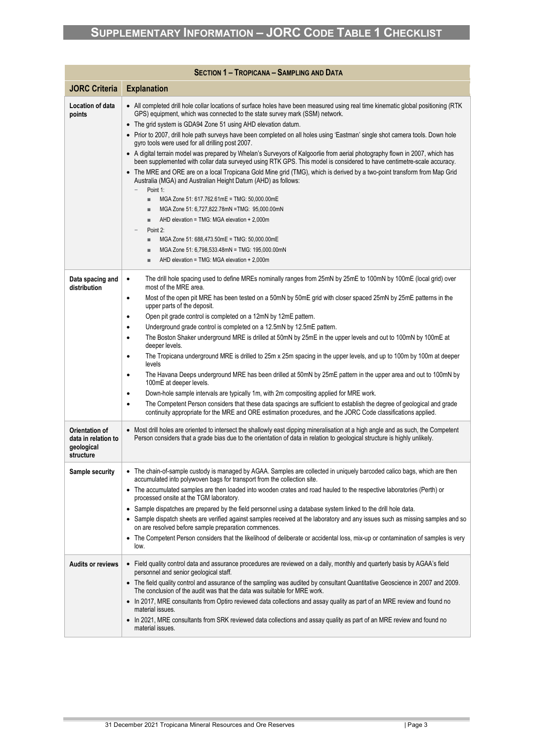|                                                            | <b>SECTION 1 - TROPICANA - SAMPLING AND DATA</b>                                                                                                                                                                                                               |
|------------------------------------------------------------|----------------------------------------------------------------------------------------------------------------------------------------------------------------------------------------------------------------------------------------------------------------|
| <b>JORC Criteria</b>                                       | <b>Explanation</b>                                                                                                                                                                                                                                             |
| Location of data                                           | • All completed drill hole collar locations of surface holes have been measured using real time kinematic global positioning (RTK)<br>GPS) equipment, which was connected to the state survey mark (SSM) network.                                              |
| points                                                     | • The grid system is GDA94 Zone 51 using AHD elevation datum.                                                                                                                                                                                                  |
|                                                            | • Prior to 2007, drill hole path surveys have been completed on all holes using 'Eastman' single shot camera tools. Down hole<br>gyro tools were used for all drilling post 2007.                                                                              |
|                                                            | • A digital terrain model was prepared by Whelan's Surveyors of Kalgoorlie from aerial photography flown in 2007, which has<br>been supplemented with collar data surveyed using RTK GPS. This model is considered to have centimetre-scale accuracy.          |
|                                                            | • The MRE and ORE are on a local Tropicana Gold Mine grid (TMG), which is derived by a two-point transform from Map Grid<br>Australia (MGA) and Australian Height Datum (AHD) as follows:                                                                      |
|                                                            | Point 1:<br>$\qquad \qquad -$                                                                                                                                                                                                                                  |
|                                                            | MGA Zone 51: 617.762.61mE = TMG: 50,000.00mE<br>٠<br>MGA Zone 51: 6,727,822.78mN = TMG: 95,000.00mN<br>ш                                                                                                                                                       |
|                                                            | AHD elevation = TMG: MGA elevation + 2,000m<br>ш                                                                                                                                                                                                               |
|                                                            | Point 2:                                                                                                                                                                                                                                                       |
|                                                            | MGA Zone 51: 688,473.50mE = TMG: 50,000.00mE<br>٠                                                                                                                                                                                                              |
|                                                            | MGA Zone 51: 6,798,533.48mN = TMG: 195,000.00mN<br>ш<br>AHD elevation = TMG: MGA elevation + 2,000m<br>ш                                                                                                                                                       |
|                                                            |                                                                                                                                                                                                                                                                |
| Data spacing and<br>distribution                           | The drill hole spacing used to define MREs nominally ranges from 25mN by 25mE to 100mN by 100mE (local grid) over<br>$\bullet$<br>most of the MRE area.                                                                                                        |
|                                                            | Most of the open pit MRE has been tested on a 50mN by 50mE grid with closer spaced 25mN by 25mE patterns in the<br>$\bullet$<br>upper parts of the deposit.                                                                                                    |
|                                                            | Open pit grade control is completed on a 12mN by 12mE pattern.<br>$\bullet$                                                                                                                                                                                    |
|                                                            | Underground grade control is completed on a 12.5mN by 12.5mE pattern.<br>$\bullet$<br>The Boston Shaker underground MRE is drilled at 50mN by 25mE in the upper levels and out to 100mN by 100mE at<br>$\bullet$                                               |
|                                                            | deeper levels.                                                                                                                                                                                                                                                 |
|                                                            | The Tropicana underground MRE is drilled to 25m x 25m spacing in the upper levels, and up to 100m by 100m at deeper<br>٠<br>levels                                                                                                                             |
|                                                            | The Havana Deeps underground MRE has been drilled at 50mN by 25mE pattern in the upper area and out to 100mN by<br>$\bullet$<br>100mE at deeper levels.                                                                                                        |
|                                                            | Down-hole sample intervals are typically 1m, with 2m compositing applied for MRE work.<br>٠                                                                                                                                                                    |
|                                                            | The Competent Person considers that these data spacings are sufficient to establish the degree of geological and grade<br>$\bullet$<br>continuity appropriate for the MRE and ORE estimation procedures, and the JORC Code classifications applied.            |
| <b>Orientation of</b><br>data in relation to<br>geological | • Most drill holes are oriented to intersect the shallowly east dipping mineralisation at a high angle and as such, the Competent<br>Person considers that a grade bias due to the orientation of data in relation to geological structure is highly unlikely. |
| structure                                                  |                                                                                                                                                                                                                                                                |
| Sample security                                            | • The chain-of-sample custody is managed by AGAA. Samples are collected in uniquely barcoded calico bags, which are then<br>accumulated into polywoven bags for transport from the collection site.                                                            |
|                                                            | • The accumulated samples are then loaded into wooden crates and road hauled to the respective laboratories (Perth) or<br>processed onsite at the TGM laboratory.                                                                                              |
|                                                            | • Sample dispatches are prepared by the field personnel using a database system linked to the drill hole data.                                                                                                                                                 |
|                                                            | • Sample dispatch sheets are verified against samples received at the laboratory and any issues such as missing samples and so<br>on are resolved before sample preparation commences.                                                                         |
|                                                            | The Competent Person considers that the likelihood of deliberate or accidental loss, mix-up or contamination of samples is very<br>$\bullet$<br>low.                                                                                                           |
| <b>Audits or reviews</b>                                   | • Field quality control data and assurance procedures are reviewed on a daily, monthly and quarterly basis by AGAA's field<br>personnel and senior geological staff.                                                                                           |
|                                                            | • The field quality control and assurance of the sampling was audited by consultant Quantitative Geoscience in 2007 and 2009.<br>The conclusion of the audit was that the data was suitable for MRE work.                                                      |
|                                                            | In 2017, MRE consultants from Optiro reviewed data collections and assay quality as part of an MRE review and found no<br>material issues.                                                                                                                     |
|                                                            | • In 2021, MRE consultants from SRK reviewed data collections and assay quality as part of an MRE review and found no<br>material issues.                                                                                                                      |

× and the state of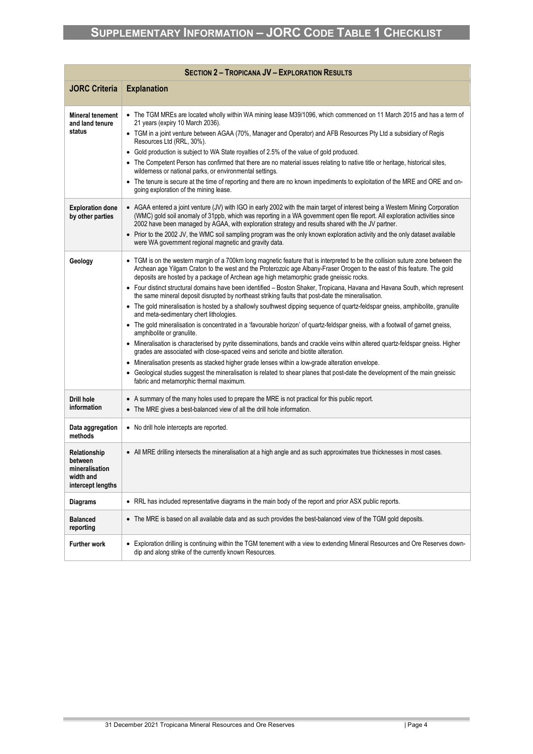| <b>SECTION 2 - TROPICANA JV - EXPLORATION RESULTS</b>                       |                                                                                                                                                                                                                                                                                                                                                                                                                                                                                                                                                                                                                                                                                                                                                                                                                                                                                                                                                                                                                                                                                                                                                                                                                                                                                                                                                                                                                                                                    |  |
|-----------------------------------------------------------------------------|--------------------------------------------------------------------------------------------------------------------------------------------------------------------------------------------------------------------------------------------------------------------------------------------------------------------------------------------------------------------------------------------------------------------------------------------------------------------------------------------------------------------------------------------------------------------------------------------------------------------------------------------------------------------------------------------------------------------------------------------------------------------------------------------------------------------------------------------------------------------------------------------------------------------------------------------------------------------------------------------------------------------------------------------------------------------------------------------------------------------------------------------------------------------------------------------------------------------------------------------------------------------------------------------------------------------------------------------------------------------------------------------------------------------------------------------------------------------|--|
| <b>JORC Criteria</b>                                                        | <b>Explanation</b>                                                                                                                                                                                                                                                                                                                                                                                                                                                                                                                                                                                                                                                                                                                                                                                                                                                                                                                                                                                                                                                                                                                                                                                                                                                                                                                                                                                                                                                 |  |
| <b>Mineral tenement</b><br>and land tenure<br>status                        | • The TGM MREs are located wholly within WA mining lease M39/1096, which commenced on 11 March 2015 and has a term of<br>21 years (expiry 10 March 2036).<br>• TGM in a joint venture between AGAA (70%, Manager and Operator) and AFB Resources Pty Ltd a subsidiary of Regis<br>Resources Ltd (RRL, 30%).<br>• Gold production is subject to WA State royalties of 2.5% of the value of gold produced.<br>• The Competent Person has confirmed that there are no material issues relating to native title or heritage, historical sites,<br>wilderness or national parks, or environmental settings.<br>• The tenure is secure at the time of reporting and there are no known impediments to exploitation of the MRE and ORE and on-<br>going exploration of the mining lease.                                                                                                                                                                                                                                                                                                                                                                                                                                                                                                                                                                                                                                                                                  |  |
| <b>Exploration done</b><br>by other parties                                 | • AGAA entered a joint venture (JV) with IGO in early 2002 with the main target of interest being a Western Mining Corporation<br>(WMC) gold soil anomaly of 31ppb, which was reporting in a WA government open file report. All exploration activities since<br>2002 have been managed by AGAA, with exploration strategy and results shared with the JV partner.<br>• Prior to the 2002 JV, the WMC soil sampling program was the only known exploration activity and the only dataset available<br>were WA government regional magnetic and gravity data.                                                                                                                                                                                                                                                                                                                                                                                                                                                                                                                                                                                                                                                                                                                                                                                                                                                                                                       |  |
| Geology                                                                     | • TGM is on the western margin of a 700km long magnetic feature that is interpreted to be the collision suture zone between the<br>Archean age Yilgarn Craton to the west and the Proterozoic age Albany-Fraser Orogen to the east of this feature. The gold<br>deposits are hosted by a package of Archean age high metamorphic grade gneissic rocks.<br>• Four distinct structural domains have been identified - Boston Shaker, Tropicana, Havana and Havana South, which represent<br>the same mineral deposit disrupted by northeast striking faults that post-date the mineralisation.<br>• The gold mineralisation is hosted by a shallowly southwest dipping sequence of quartz-feldspar gneiss, amphibolite, granulite<br>and meta-sedimentary chert lithologies.<br>• The gold mineralisation is concentrated in a 'favourable horizon' of quartz-feldspar gneiss, with a footwall of garnet gneiss,<br>amphibolite or granulite.<br>• Mineralisation is characterised by pyrite disseminations, bands and crackle veins within altered quartz-feldspar gneiss. Higher<br>grades are associated with close-spaced veins and sericite and biotite alteration.<br>Mineralisation presents as stacked higher grade lenses within a low-grade alteration envelope.<br>$\bullet$<br>• Geological studies suggest the mineralisation is related to shear planes that post-date the development of the main gneissic<br>fabric and metamorphic thermal maximum. |  |
| Drill hole<br>information                                                   | • A summary of the many holes used to prepare the MRE is not practical for this public report.<br>• The MRE gives a best-balanced view of all the drill hole information.                                                                                                                                                                                                                                                                                                                                                                                                                                                                                                                                                                                                                                                                                                                                                                                                                                                                                                                                                                                                                                                                                                                                                                                                                                                                                          |  |
| Data aggregation<br>methods                                                 | • No drill hole intercepts are reported.                                                                                                                                                                                                                                                                                                                                                                                                                                                                                                                                                                                                                                                                                                                                                                                                                                                                                                                                                                                                                                                                                                                                                                                                                                                                                                                                                                                                                           |  |
| Relationship<br>between<br>mineralisation<br>width and<br>intercept lengths | • All MRE drilling intersects the mineralisation at a high angle and as such approximates true thicknesses in most cases.                                                                                                                                                                                                                                                                                                                                                                                                                                                                                                                                                                                                                                                                                                                                                                                                                                                                                                                                                                                                                                                                                                                                                                                                                                                                                                                                          |  |
| Diagrams                                                                    | • RRL has included representative diagrams in the main body of the report and prior ASX public reports.                                                                                                                                                                                                                                                                                                                                                                                                                                                                                                                                                                                                                                                                                                                                                                                                                                                                                                                                                                                                                                                                                                                                                                                                                                                                                                                                                            |  |
| <b>Balanced</b><br>reporting                                                | • The MRE is based on all available data and as such provides the best-balanced view of the TGM gold deposits.                                                                                                                                                                                                                                                                                                                                                                                                                                                                                                                                                                                                                                                                                                                                                                                                                                                                                                                                                                                                                                                                                                                                                                                                                                                                                                                                                     |  |
| Further work                                                                | • Exploration drilling is continuing within the TGM tenement with a view to extending Mineral Resources and Ore Reserves down-<br>dip and along strike of the currently known Resources.                                                                                                                                                                                                                                                                                                                                                                                                                                                                                                                                                                                                                                                                                                                                                                                                                                                                                                                                                                                                                                                                                                                                                                                                                                                                           |  |

× and the state of the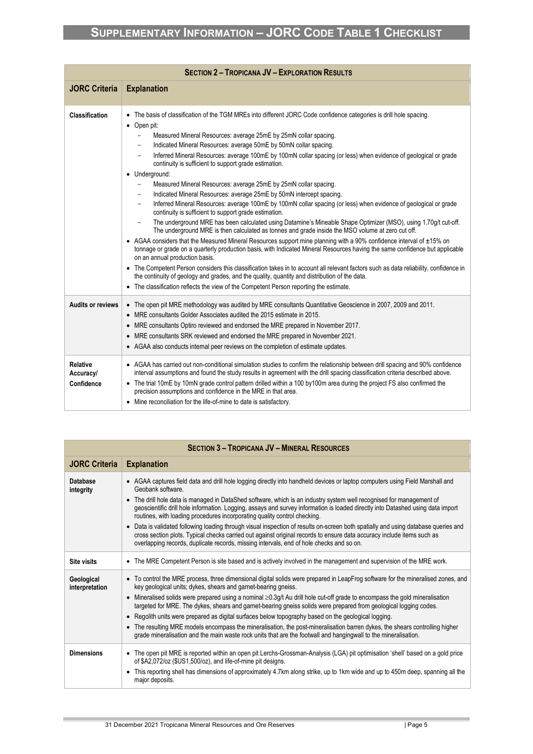|                                            | <b>SECTION 2 - TROPICANA JV - EXPLORATION RESULTS</b>                                                                                                                                                                                                                                                                                                                                                                                                                                                                                                                                                                                                                                                                                                                                                                                                                                                                                                                                                                                                                                                                                                                                                                                                                                                                                                                                                                                                                                                                                                                                                                                                                                                                                                                                                                                                 |
|--------------------------------------------|-------------------------------------------------------------------------------------------------------------------------------------------------------------------------------------------------------------------------------------------------------------------------------------------------------------------------------------------------------------------------------------------------------------------------------------------------------------------------------------------------------------------------------------------------------------------------------------------------------------------------------------------------------------------------------------------------------------------------------------------------------------------------------------------------------------------------------------------------------------------------------------------------------------------------------------------------------------------------------------------------------------------------------------------------------------------------------------------------------------------------------------------------------------------------------------------------------------------------------------------------------------------------------------------------------------------------------------------------------------------------------------------------------------------------------------------------------------------------------------------------------------------------------------------------------------------------------------------------------------------------------------------------------------------------------------------------------------------------------------------------------------------------------------------------------------------------------------------------------|
| <b>JORC Criteria</b>                       | <b>Explanation</b>                                                                                                                                                                                                                                                                                                                                                                                                                                                                                                                                                                                                                                                                                                                                                                                                                                                                                                                                                                                                                                                                                                                                                                                                                                                                                                                                                                                                                                                                                                                                                                                                                                                                                                                                                                                                                                    |
| Classification                             | The basis of classification of the TGM MREs into different JORC Code confidence categories is drill hole spacing.<br>$\bullet$ Open pit:<br>Measured Mineral Resources: average 25mE by 25mN collar spacing.<br>$\overline{\phantom{0}}$<br>Indicated Mineral Resources: average 50mE by 50mN collar spacing.<br>$\overline{\phantom{m}}$<br>Inferred Mineral Resources: average 100mE by 100mN collar spacing (or less) when evidence of geological or grade<br>$\overline{\phantom{0}}$<br>continuity is sufficient to support grade estimation.<br>• Underground:<br>Measured Mineral Resources: average 25mE by 25mN collar spacing.<br>$\qquad \qquad -$<br>Indicated Mineral Resources: average 25mE by 50mN intercept spacing.<br>$\overline{\phantom{0}}$<br>Inferred Mineral Resources: average 100mE by 100mN collar spacing (or less) when evidence of geological or grade<br>$\qquad \qquad -$<br>continuity is sufficient to support grade estimation.<br>The underground MRE has been calculated using Datamine's Mineable Shape Optimizer (MSO), using 1.70g/t cut-off.<br>$\overline{\phantom{0}}$<br>The underground MRE is then calculated as tonnes and grade inside the MSO volume at zero cut off.<br>• AGAA considers that the Measured Mineral Resources support mine planning with a 90% confidence interval of ±15% on<br>tonnage or grade on a quarterly production basis, with Indicated Mineral Resources having the same confidence but applicable<br>on an annual production basis.<br>• The Competent Person considers this classification takes in to account all relevant factors such as data reliability, confidence in<br>the continuity of geology and grades, and the quality, quantity and distribution of the data.<br>• The classification reflects the view of the Competent Person reporting the estimate. |
| <b>Audits or reviews</b>                   | • The open pit MRE methodology was audited by MRE consultants Quantitative Geoscience in 2007, 2009 and 2011.<br>• MRE consultants Golder Associates audited the 2015 estimate in 2015.<br>• MRE consultants Optiro reviewed and endorsed the MRE prepared in November 2017.<br>• MRE consultants SRK reviewed and endorsed the MRE prepared in November 2021.<br>• AGAA also conducts internal peer reviews on the completion of estimate updates.                                                                                                                                                                                                                                                                                                                                                                                                                                                                                                                                                                                                                                                                                                                                                                                                                                                                                                                                                                                                                                                                                                                                                                                                                                                                                                                                                                                                   |
| <b>Relative</b><br>Accuracy/<br>Confidence | • AGAA has carried out non-conditional simulation studies to confirm the relationship between drill spacing and 90% confidence<br>interval assumptions and found the study results in agreement with the drill spacing classification criteria described above.<br>• The trial 10mE by 10mN grade control pattern drilled within a 100 by 100m area during the project FS also confirmed the<br>precision assumptions and confidence in the MRE in that area.<br>• Mine reconciliation for the life-of-mine to date is satisfactory.                                                                                                                                                                                                                                                                                                                                                                                                                                                                                                                                                                                                                                                                                                                                                                                                                                                                                                                                                                                                                                                                                                                                                                                                                                                                                                                  |

|                              | <b>SECTION 3 - TROPICANA JV - MINERAL RESOURCES</b>                                                                                                                                                                                                                                                                                                      |  |  |  |
|------------------------------|----------------------------------------------------------------------------------------------------------------------------------------------------------------------------------------------------------------------------------------------------------------------------------------------------------------------------------------------------------|--|--|--|
| <b>JORC Criteria</b>         | <b>Explanation</b>                                                                                                                                                                                                                                                                                                                                       |  |  |  |
| Database<br>integrity        | • AGAA captures field data and drill hole logging directly into handheld devices or laptop computers using Field Marshall and<br>Geobank software.                                                                                                                                                                                                       |  |  |  |
|                              | • The drill hole data is managed in DataShed software, which is an industry system well recognised for management of<br>geoscientific drill hole information. Logging, assays and survey information is loaded directly into Datashed using data import<br>routines, with loading procedures incorporating quality control checking.                     |  |  |  |
|                              | • Data is validated following loading through visual inspection of results on-screen both spatially and using database queries and<br>cross section plots. Typical checks carried out against original records to ensure data accuracy include items such as<br>overlapping records, duplicate records, missing intervals, end of hole checks and so on. |  |  |  |
| <b>Site visits</b>           | • The MRE Competent Person is site based and is actively involved in the management and supervision of the MRE work.                                                                                                                                                                                                                                     |  |  |  |
| Geological<br>interpretation | • To control the MRE process, three dimensional digital solids were prepared in LeapFrog software for the mineralised zones, and<br>key geological units; dykes, shears and garnet-bearing gneiss.                                                                                                                                                       |  |  |  |
|                              | Mineralised solids were prepared using a nominal $\geq 0.3$ g/t Au drill hole cut-off grade to encompass the gold mineralisation<br>targeted for MRE. The dykes, shears and garnet-bearing gneiss solids were prepared from geological logging codes.                                                                                                    |  |  |  |
|                              | • Regolith units were prepared as digital surfaces below topography based on the geological logging.                                                                                                                                                                                                                                                     |  |  |  |
|                              | • The resulting MRE models encompass the mineralisation, the post-mineralisation barren dykes, the shears controlling higher<br>grade mineralisation and the main waste rock units that are the footwall and hangingwall to the mineralisation.                                                                                                          |  |  |  |
| <b>Dimensions</b>            | • The open pit MRE is reported within an open pit Lerchs-Grossman-Analysis (LGA) pit optimisation 'shell' based on a gold price<br>of \$A2,072/oz (\$US1,500/oz), and life-of-mine pit designs.                                                                                                                                                          |  |  |  |
|                              | • This reporting shell has dimensions of approximately 4.7km along strike, up to 1km wide and up to 450m deep, spanning all the<br>major deposits.                                                                                                                                                                                                       |  |  |  |

× and the state of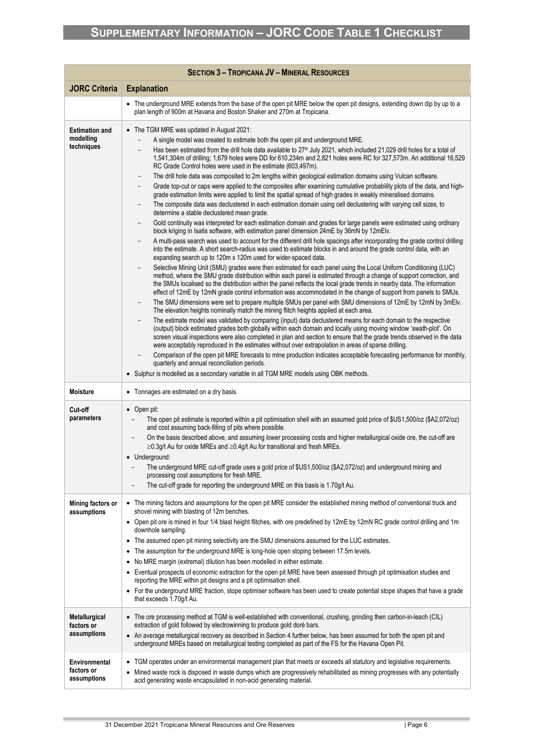|                                                  | <b>SECTION 3 - TROPICANA JV - MINERAL RESOURCES</b>                                                                                                                                                                                                                                                                                                                                                                                                                                                                                                                                                                                                                                                                                                                                                                                                                                                                                                                                                                                                                                                                                                                                                                                                                                                                                                                                                                                                                                                                                                                                                                                                                                                                                                                                                                                                                                                                                                                                                                                                                                                                                                                                                                                                                                                                                                                                                                                                                                                                                                                                                                                                                                                                                                                                                                                                                                                                                                                                  |
|--------------------------------------------------|--------------------------------------------------------------------------------------------------------------------------------------------------------------------------------------------------------------------------------------------------------------------------------------------------------------------------------------------------------------------------------------------------------------------------------------------------------------------------------------------------------------------------------------------------------------------------------------------------------------------------------------------------------------------------------------------------------------------------------------------------------------------------------------------------------------------------------------------------------------------------------------------------------------------------------------------------------------------------------------------------------------------------------------------------------------------------------------------------------------------------------------------------------------------------------------------------------------------------------------------------------------------------------------------------------------------------------------------------------------------------------------------------------------------------------------------------------------------------------------------------------------------------------------------------------------------------------------------------------------------------------------------------------------------------------------------------------------------------------------------------------------------------------------------------------------------------------------------------------------------------------------------------------------------------------------------------------------------------------------------------------------------------------------------------------------------------------------------------------------------------------------------------------------------------------------------------------------------------------------------------------------------------------------------------------------------------------------------------------------------------------------------------------------------------------------------------------------------------------------------------------------------------------------------------------------------------------------------------------------------------------------------------------------------------------------------------------------------------------------------------------------------------------------------------------------------------------------------------------------------------------------------------------------------------------------------------------------------------------------|
| <b>JORC Criteria</b>                             | <b>Explanation</b>                                                                                                                                                                                                                                                                                                                                                                                                                                                                                                                                                                                                                                                                                                                                                                                                                                                                                                                                                                                                                                                                                                                                                                                                                                                                                                                                                                                                                                                                                                                                                                                                                                                                                                                                                                                                                                                                                                                                                                                                                                                                                                                                                                                                                                                                                                                                                                                                                                                                                                                                                                                                                                                                                                                                                                                                                                                                                                                                                                   |
|                                                  | • The underground MRE extends from the base of the open pit MRE below the open pit designs, extending down dip by up to a<br>plan length of 900m at Havana and Boston Shaker and 270m at Tropicana.                                                                                                                                                                                                                                                                                                                                                                                                                                                                                                                                                                                                                                                                                                                                                                                                                                                                                                                                                                                                                                                                                                                                                                                                                                                                                                                                                                                                                                                                                                                                                                                                                                                                                                                                                                                                                                                                                                                                                                                                                                                                                                                                                                                                                                                                                                                                                                                                                                                                                                                                                                                                                                                                                                                                                                                  |
| <b>Estimation and</b><br>modelling<br>techniques | • The TGM MRE was updated in August 2021:<br>A single model was created to estimate both the open pit and underground MRE.<br>Has been estimated from the drill hole data available to 27 <sup>th</sup> July 2021, which included 21,029 drill holes for a total of<br>1,541,304m of drilling; 1,679 holes were DD for 610,234m and 2,821 holes were RC for 327,573m. An additional 16,529<br>RC Grade Control holes were used in the estimate (603,497m).<br>The drill hole data was composited to 2m lengths within geological estimation domains using Vulcan software.<br>Grade top-cut or caps were applied to the composites after examining cumulative probability plots of the data, and high-<br>grade estimation limits were applied to limit the spatial spread of high grades in weakly mineralised domains.<br>The composite data was declustered in each estimation domain using cell declustering with varying cell sizes, to<br>determine a stable declustered mean grade.<br>Gold continuity was interpreted for each estimation domain and grades for large panels were estimated using ordinary<br>block kriging in Isatis software, with estimation panel dimension 24mE by 36mN by 12mElv.<br>A multi-pass search was used to account for the different drill hole spacings after incorporating the grade control drilling<br>into the estimate. A short search-radius was used to estimate blocks in and around the grade control data, with an<br>expanding search up to 120m x 120m used for wider-spaced data.<br>Selective Mining Unit (SMU) grades were then estimated for each panel using the Local Uniform Conditioning (LUC)<br>method, where the SMU grade distribution within each panel is estimated through a change of support correction, and<br>the SMUs localised so the distribution within the panel reflects the local grade trends in nearby data. The information<br>effect of 12mE by 12mN grade control information was accommodated in the change of support from panels to SMUs.<br>The SMU dimensions were set to prepare multiple SMUs per panel with SMU dimensions of 12mE by 12mN by 3mElv.<br>The elevation heights nominally match the mining flitch heights applied at each area.<br>The estimate model was validated by comparing (input) data declustered means for each domain to the respective<br>(output) block estimated grades both globally within each domain and locally using moving window 'swath-plot'. On<br>screen visual inspections were also completed in plan and section to ensure that the grade trends observed in the data<br>were acceptably reproduced in the estimates without over extrapolation in areas of sparse drilling.<br>Comparison of the open pit MRE forecasts to mine production indicates acceptable forecasting performance for monthly,<br>quarterly and annual reconciliation periods.<br>• Sulphur is modelled as a secondary variable in all TGM MRE models using OBK methods. |
| Moisture                                         | • Tonnages are estimated on a dry basis.                                                                                                                                                                                                                                                                                                                                                                                                                                                                                                                                                                                                                                                                                                                                                                                                                                                                                                                                                                                                                                                                                                                                                                                                                                                                                                                                                                                                                                                                                                                                                                                                                                                                                                                                                                                                                                                                                                                                                                                                                                                                                                                                                                                                                                                                                                                                                                                                                                                                                                                                                                                                                                                                                                                                                                                                                                                                                                                                             |
| Cut-off<br>parameters                            | $\bullet$ Open pit:<br>The open pit estimate is reported within a pit optimisation shell with an assumed gold price of \$US1,500/oz (\$A2,072/oz)<br>and cost assuming back-filling of pits where possible.<br>On the basis described above, and assuming lower processing costs and higher metallurgical oxide ore, the cut-off are<br>$\geq$ 0.3g/t Au for oxide MREs and $\geq$ 0.4g/t Au for transitional and fresh MREs.<br>• Underground:<br>The underground MRE cut-off grade uses a gold price of \$US1,500/oz (\$A2,072/oz) and underground mining and<br>processing cost assumptions for fresh MRE.<br>The cut-off grade for reporting the underground MRE on this basis is 1.70g/t Au.<br>$\overline{\phantom{0}}$                                                                                                                                                                                                                                                                                                                                                                                                                                                                                                                                                                                                                                                                                                                                                                                                                                                                                                                                                                                                                                                                                                                                                                                                                                                                                                                                                                                                                                                                                                                                                                                                                                                                                                                                                                                                                                                                                                                                                                                                                                                                                                                                                                                                                                                        |
| Mining factors or<br>assumptions                 | • The mining factors and assumptions for the open pit MRE consider the established mining method of conventional truck and<br>shovel mining with blasting of 12m benches.<br>• Open pit ore is mined in four 1/4 blast height flitches, with ore predefined by 12mE by 12mN RC grade control drilling and 1m<br>downhole sampling.<br>• The assumed open pit mining selectivity are the SMU dimensions assumed for the LUC estimates.<br>The assumption for the underground MRE is long-hole open stoping between 17.5m levels.<br>٠<br>No MRE margin (extremal) dilution has been modelled in either estimate.<br>$\bullet$<br>Eventual prospects of economic extraction for the open pit MRE have been assessed through pit optimisation studies and<br>٠<br>reporting the MRE within pit designs and a pit optimisation shell.<br>• For the underground MRE fraction, stope optimiser software has been used to create potential stope shapes that have a grade<br>that exceeds 1.70g/t Au.                                                                                                                                                                                                                                                                                                                                                                                                                                                                                                                                                                                                                                                                                                                                                                                                                                                                                                                                                                                                                                                                                                                                                                                                                                                                                                                                                                                                                                                                                                                                                                                                                                                                                                                                                                                                                                                                                                                                                                                       |
| Metallurgical<br>factors or<br>assumptions       | • The ore processing method at TGM is well-established with conventional, crushing, grinding then carbon-in-leach (CIL)<br>extraction of gold followed by electrowinning to produce gold doré bars.<br>• An average metallurgical recovery as described in Section 4 further below, has been assumed for both the open pit and<br>underground MREs based on metallurgical testing completed as part of the FS for the Havana Open Pit.                                                                                                                                                                                                                                                                                                                                                                                                                                                                                                                                                                                                                                                                                                                                                                                                                                                                                                                                                                                                                                                                                                                                                                                                                                                                                                                                                                                                                                                                                                                                                                                                                                                                                                                                                                                                                                                                                                                                                                                                                                                                                                                                                                                                                                                                                                                                                                                                                                                                                                                                               |
| Environmental<br>factors or<br>assumptions       | • TGM operates under an environmental management plan that meets or exceeds all statutory and legislative requirements.<br>Mined waste rock is disposed in waste dumps which are progressively rehabilitated as mining progresses with any potentially<br>acid generating waste encapsulated in non-acid generating material.                                                                                                                                                                                                                                                                                                                                                                                                                                                                                                                                                                                                                                                                                                                                                                                                                                                                                                                                                                                                                                                                                                                                                                                                                                                                                                                                                                                                                                                                                                                                                                                                                                                                                                                                                                                                                                                                                                                                                                                                                                                                                                                                                                                                                                                                                                                                                                                                                                                                                                                                                                                                                                                        |

g. and the state of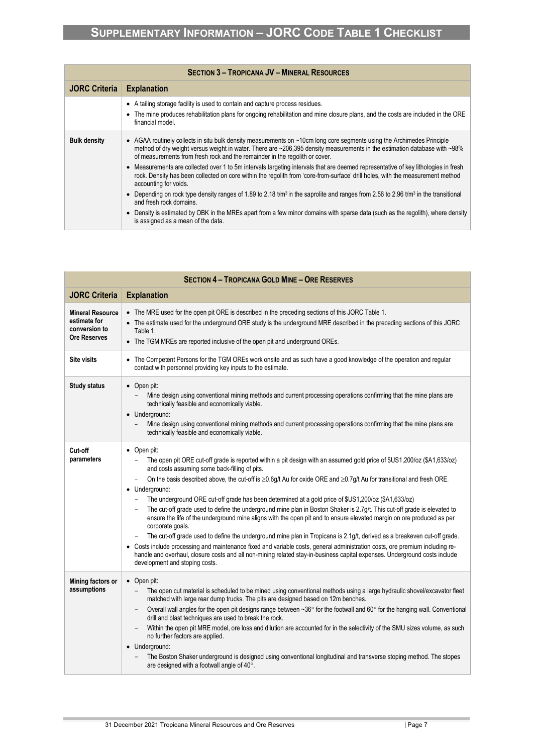| <b>SECTION 3 - TROPICANA JV - MINERAL RESOURCES</b> |                                                                                                                                                                                                                                                                                                                                    |  |
|-----------------------------------------------------|------------------------------------------------------------------------------------------------------------------------------------------------------------------------------------------------------------------------------------------------------------------------------------------------------------------------------------|--|
| <b>JORC Criteria</b>                                | <b>Explanation</b>                                                                                                                                                                                                                                                                                                                 |  |
|                                                     | • A tailing storage facility is used to contain and capture process residues.<br>• The mine produces rehabilitation plans for ongoing rehabilitation and mine closure plans, and the costs are included in the ORE<br>financial model.                                                                                             |  |
| <b>Bulk density</b>                                 | • AGAA routinely collects in situ bulk density measurements on ~10cm long core segments using the Archimedes Principle<br>method of dry weight versus weight in water. There are ~206,395 density measurements in the estimation database with ~98%<br>of measurements from fresh rock and the remainder in the regolith or cover. |  |
|                                                     | • Measurements are collected over 1 to 5m intervals targeting intervals that are deemed representative of key lithologies in fresh<br>rock. Density has been collected on core within the regolith from 'core-from-surface' drill holes, with the measurement method<br>accounting for voids.                                      |  |
|                                                     | • Depending on rock type density ranges of 1.89 to 2.18 t/m <sup>3</sup> in the saprolite and ranges from 2.56 to 2.96 t/m <sup>3</sup> in the transitional<br>and fresh rock domains.                                                                                                                                             |  |
|                                                     | • Density is estimated by OBK in the MREs apart from a few minor domains with sparse data (such as the regolith), where density<br>is assigned as a mean of the data.                                                                                                                                                              |  |

| <b>SECTION 4 - TROPICANA GOLD MINE - ORE RESERVES</b>                           |                                                                                                                                                                                                                                                                                                                                                                                                                                                                                                                                                                                                                                                                                                                                                                                                                                                                                                                                                                                                                                                                                                                                                                                                                           |  |
|---------------------------------------------------------------------------------|---------------------------------------------------------------------------------------------------------------------------------------------------------------------------------------------------------------------------------------------------------------------------------------------------------------------------------------------------------------------------------------------------------------------------------------------------------------------------------------------------------------------------------------------------------------------------------------------------------------------------------------------------------------------------------------------------------------------------------------------------------------------------------------------------------------------------------------------------------------------------------------------------------------------------------------------------------------------------------------------------------------------------------------------------------------------------------------------------------------------------------------------------------------------------------------------------------------------------|--|
| <b>JORC Criteria</b>                                                            | <b>Explanation</b>                                                                                                                                                                                                                                                                                                                                                                                                                                                                                                                                                                                                                                                                                                                                                                                                                                                                                                                                                                                                                                                                                                                                                                                                        |  |
| <b>Mineral Resource</b><br>estimate for<br>conversion to<br><b>Ore Reserves</b> | • The MRE used for the open pit ORE is described in the preceding sections of this JORC Table 1.<br>• The estimate used for the underground ORE study is the underground MRE described in the preceding sections of this JORC<br>Table 1.<br>• The TGM MREs are reported inclusive of the open pit and underground OREs.                                                                                                                                                                                                                                                                                                                                                                                                                                                                                                                                                                                                                                                                                                                                                                                                                                                                                                  |  |
| <b>Site visits</b>                                                              | The Competent Persons for the TGM OREs work onsite and as such have a good knowledge of the operation and regular<br>contact with personnel providing key inputs to the estimate.                                                                                                                                                                                                                                                                                                                                                                                                                                                                                                                                                                                                                                                                                                                                                                                                                                                                                                                                                                                                                                         |  |
| <b>Study status</b>                                                             | $\bullet$ Open pit:<br>Mine design using conventional mining methods and current processing operations confirming that the mine plans are<br>technically feasible and economically viable.<br>• Underground:<br>Mine design using conventional mining methods and current processing operations confirming that the mine plans are<br>technically feasible and economically viable.                                                                                                                                                                                                                                                                                                                                                                                                                                                                                                                                                                                                                                                                                                                                                                                                                                       |  |
| Cut-off<br>parameters                                                           | $\bullet$ Open pit:<br>The open pit ORE cut-off grade is reported within a pit design with an assumed gold price of \$US1,200/oz (\$A1,633/oz)<br>and costs assuming some back-filling of pits.<br>On the basis described above, the cut-off is $\geq 0.6$ g/t Au for oxide ORE and $\geq 0.7$ g/t Au for transitional and fresh ORE.<br>$\overline{\phantom{a}}$<br>• Underground:<br>The underground ORE cut-off grade has been determined at a gold price of \$US1,200/oz (\$A1,633/oz)<br>$\overline{\phantom{a}}$<br>The cut-off grade used to define the underground mine plan in Boston Shaker is 2.7g/t. This cut-off grade is elevated to<br>ensure the life of the underground mine aligns with the open pit and to ensure elevated margin on ore produced as per<br>corporate goals.<br>The cut-off grade used to define the underground mine plan in Tropicana is 2.1g/t, derived as a breakeven cut-off grade.<br>Costs include processing and maintenance fixed and variable costs, general administration costs, ore premium including re-<br>handle and overhaul, closure costs and all non-mining related stay-in-business capital expenses. Underground costs include<br>development and stoping costs. |  |
| Mining factors or<br>assumptions                                                | $\bullet$ Open pit:<br>The open cut material is scheduled to be mined using conventional methods using a large hydraulic shovel/excavator fleet<br>$\overline{\phantom{a}}$<br>matched with large rear dump trucks. The pits are designed based on 12m benches.<br>Overall wall angles for the open pit designs range between ∼36° for the footwall and 60° for the hanging wall. Conventional<br>drill and blast techniques are used to break the rock.<br>Within the open pit MRE model, ore loss and dilution are accounted for in the selectivity of the SMU sizes volume, as such<br>no further factors are applied.<br>• Underground:<br>The Boston Shaker underground is designed using conventional longitudinal and transverse stoping method. The stopes<br>are designed with a footwall angle of 40°.                                                                                                                                                                                                                                                                                                                                                                                                          |  |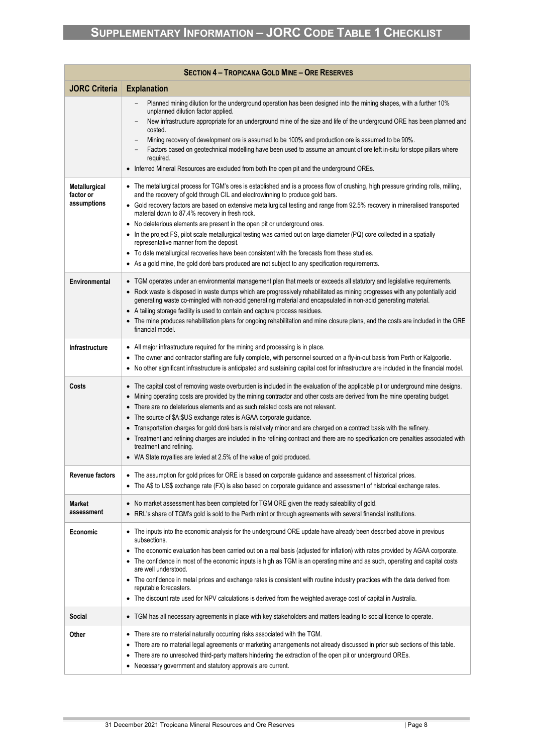| <b>SECTION 4 - TROPICANA GOLD MINE - ORE RESERVES</b> |                                                                                                                                                                                                                                                                                                                                                                                                                                                                                                                                                                                                                                                                                                                                                                                                                                                                       |  |
|-------------------------------------------------------|-----------------------------------------------------------------------------------------------------------------------------------------------------------------------------------------------------------------------------------------------------------------------------------------------------------------------------------------------------------------------------------------------------------------------------------------------------------------------------------------------------------------------------------------------------------------------------------------------------------------------------------------------------------------------------------------------------------------------------------------------------------------------------------------------------------------------------------------------------------------------|--|
| <b>JORC Criteria</b>                                  | <b>Explanation</b>                                                                                                                                                                                                                                                                                                                                                                                                                                                                                                                                                                                                                                                                                                                                                                                                                                                    |  |
|                                                       | Planned mining dilution for the underground operation has been designed into the mining shapes, with a further 10%<br>unplanned dilution factor applied.<br>New infrastructure appropriate for an underground mine of the size and life of the underground ORE has been planned and<br>costed.<br>Mining recovery of development ore is assumed to be 100% and production ore is assumed to be 90%.<br>Factors based on geotechnical modelling have been used to assume an amount of ore left in-situ for stope pillars where<br>required.<br>• Inferred Mineral Resources are excluded from both the open pit and the underground OREs.                                                                                                                                                                                                                              |  |
| Metallurgical<br>factor or<br>assumptions             | • The metallurgical process for TGM's ores is established and is a process flow of crushing, high pressure grinding rolls, milling,<br>and the recovery of gold through CIL and electrowinning to produce gold bars.<br>• Gold recovery factors are based on extensive metallurgical testing and range from 92.5% recovery in mineralised transported<br>material down to 87.4% recovery in fresh rock.<br>• No deleterious elements are present in the open pit or underground ores.<br>• In the project FS, pilot scale metallurgical testing was carried out on large diameter (PQ) core collected in a spatially<br>representative manner from the deposit.<br>• To date metallurgical recoveries have been consistent with the forecasts from these studies.<br>• As a gold mine, the gold doré bars produced are not subject to any specification requirements. |  |
| Environmental                                         | • TGM operates under an environmental management plan that meets or exceeds all statutory and legislative requirements.<br>• Rock waste is disposed in waste dumps which are progressively rehabilitated as mining progresses with any potentially acid<br>generating waste co-mingled with non-acid generating material and encapsulated in non-acid generating material.<br>• A tailing storage facility is used to contain and capture process residues.<br>• The mine produces rehabilitation plans for ongoing rehabilitation and mine closure plans, and the costs are included in the ORE<br>financial model.                                                                                                                                                                                                                                                  |  |
| <b>Infrastructure</b>                                 | • All major infrastructure required for the mining and processing is in place.<br>• The owner and contractor staffing are fully complete, with personnel sourced on a fly-in-out basis from Perth or Kalgoorlie.<br>• No other significant infrastructure is anticipated and sustaining capital cost for infrastructure are included in the financial model.                                                                                                                                                                                                                                                                                                                                                                                                                                                                                                          |  |
| Costs                                                 | • The capital cost of removing waste overburden is included in the evaluation of the applicable pit or underground mine designs.<br>Mining operating costs are provided by the mining contractor and other costs are derived from the mine operating budget.<br>$\bullet$<br>• There are no deleterious elements and as such related costs are not relevant.<br>• The source of \$A:\$US exchange rates is AGAA corporate guidance.<br>• Transportation charges for gold doré bars is relatively minor and are charged on a contract basis with the refinery.<br>• Treatment and refining charges are included in the refining contract and there are no specification ore penalties associated with<br>treatment and refining.<br>• WA State royalties are levied at 2.5% of the value of gold produced.                                                             |  |
| <b>Revenue factors</b>                                | • The assumption for gold prices for ORE is based on corporate guidance and assessment of historical prices.<br>• The A\$ to US\$ exchange rate (FX) is also based on corporate guidance and assessment of historical exchange rates.                                                                                                                                                                                                                                                                                                                                                                                                                                                                                                                                                                                                                                 |  |
| <b>Market</b><br>assessment                           | • No market assessment has been completed for TGM ORE given the ready saleability of gold.<br>RRL's share of TGM's gold is sold to the Perth mint or through agreements with several financial institutions.<br>$\bullet$                                                                                                                                                                                                                                                                                                                                                                                                                                                                                                                                                                                                                                             |  |
| Economic                                              | • The inputs into the economic analysis for the underground ORE update have already been described above in previous<br>subsections.<br>The economic evaluation has been carried out on a real basis (adjusted for inflation) with rates provided by AGAA corporate.<br>$\bullet$<br>• The confidence in most of the economic inputs is high as TGM is an operating mine and as such, operating and capital costs<br>are well understood.<br>• The confidence in metal prices and exchange rates is consistent with routine industry practices with the data derived from<br>reputable forecasters.<br>• The discount rate used for NPV calculations is derived from the weighted average cost of capital in Australia.                                                                                                                                               |  |
| Social                                                | • TGM has all necessary agreements in place with key stakeholders and matters leading to social licence to operate.                                                                                                                                                                                                                                                                                                                                                                                                                                                                                                                                                                                                                                                                                                                                                   |  |
| Other                                                 | • There are no material naturally occurring risks associated with the TGM.<br>There are no material legal agreements or marketing arrangements not already discussed in prior sub sections of this table.<br>There are no unresolved third-party matters hindering the extraction of the open pit or underground OREs.<br>$\bullet$<br>• Necessary government and statutory approvals are current.                                                                                                                                                                                                                                                                                                                                                                                                                                                                    |  |